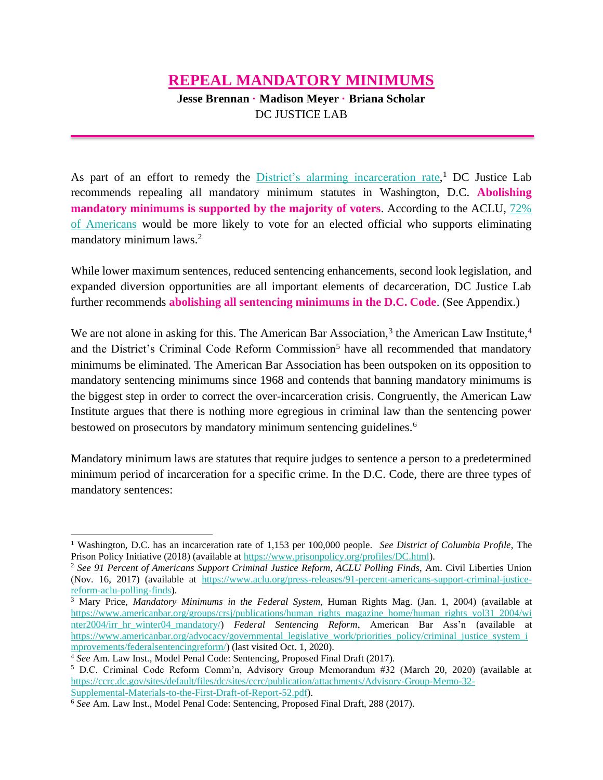## **REPEAL MANDATORY MINIMUMS**

**Jesse Brennan · Madison Meyer · Briana Scholar** DC JUSTICE LAB

As part of an effort to remedy the *District's alarming incarceration rate*,<sup>1</sup> DC Justice Lab recommends repealing all mandatory minimum statutes in Washington, D.C. **Abolishing mandatory minimums is supported by the majority of voters**. According to the ACLU, [72%](https://www.aclu.org/press-releases/91-percent-americans-support-criminal-justice-reform-aclu-polling-finds)  [of Americans](https://www.aclu.org/press-releases/91-percent-americans-support-criminal-justice-reform-aclu-polling-finds) would be more likely to vote for an elected official who supports eliminating mandatory minimum laws.<sup>2</sup>

While lower maximum sentences, reduced sentencing enhancements, second look legislation, and expanded diversion opportunities are all important elements of decarceration, DC Justice Lab further recommends **abolishing all sentencing minimums in the D.C. Code**. (See Appendix.)

We are not alone in asking for this. The American Bar Association,<sup>3</sup> the American Law Institute,<sup>4</sup> and the District's Criminal Code Reform Commission<sup>5</sup> have all recommended that mandatory minimums be eliminated. The American Bar Association has been outspoken on its opposition to mandatory sentencing minimums since 1968 and contends that banning mandatory minimums is the biggest step in order to correct the over-incarceration crisis. Congruently, the American Law Institute argues that there is nothing more egregious in criminal law than the sentencing power bestowed on prosecutors by mandatory minimum sentencing guidelines.<sup>6</sup>

Mandatory minimum laws are statutes that require judges to sentence a person to a predetermined minimum period of incarceration for a specific crime. In the D.C. Code, there are three types of mandatory sentences:

<sup>1</sup> Washington, D.C. has an incarceration rate of 1,153 per 100,000 people. *See District of Columbia Profile*, The Prison Policy Initiative (2018) (available at [https://www.prisonpolicy.org/profiles/DC.html\)](https://www.prisonpolicy.org/profiles/DC.html).

<sup>2</sup> *See 91 Percent of Americans Support Criminal Justice Reform, ACLU Polling Finds*, Am. Civil Liberties Union (Nov. 16, 2017) (available at [https://www.aclu.org/press-releases/91-percent-americans-support-criminal-justice](https://www.aclu.org/press-releases/91-percent-americans-support-criminal-justice-reform-aclu-polling-finds)[reform-aclu-polling-finds\)](https://www.aclu.org/press-releases/91-percent-americans-support-criminal-justice-reform-aclu-polling-finds).

<sup>3</sup> Mary Price, *Mandatory Minimums in the Federal System*, Human Rights Mag. (Jan. 1, 2004) (available at [https://www.americanbar.org/groups/crsj/publications/human\\_rights\\_magazine\\_home/](https://www.americanbar.org/groups/crsj/publications/human_rights_magazine_home/)[human\\_rights\\_vol31\\_2004/wi](https://www.americanbar.org/groups/crsj/publications/human_rights_magazine_home/human_rights_vol31_2004/winter2004/irr_hr_winter04_mandatory/) [nter2004/irr\\_hr\\_winter04\\_mandatory/\)](https://www.americanbar.org/groups/crsj/publications/human_rights_magazine_home/human_rights_vol31_2004/winter2004/irr_hr_winter04_mandatory/) *Federal Sentencing Reform*, American Bar Ass'n (available at [https://www.americanbar.org/advocacy/governmental\\_legislative\\_work/priorities\\_policy/criminal\\_justice\\_system\\_i](https://www.americanbar.org/advocacy/governmental_legislative_work/priorities_policy/criminal_justice_system_improvements/federalsentencingreform/) [mprovements/federalsentencingreform/\)](https://www.americanbar.org/advocacy/governmental_legislative_work/priorities_policy/criminal_justice_system_improvements/federalsentencingreform/) (last visited Oct. 1, 2020).

<sup>4</sup> *See* Am. Law Inst., Model Penal Code: Sentencing, Proposed Final Draft (2017).

<sup>5</sup> D.C. Criminal Code Reform Comm'n, Advisory Group Memorandum #32 (March 20, 2020) (available at [https://ccrc.dc.gov/sites/default/files/dc/sites/ccrc/publication/attachments/Advisory-Group-Memo-32-](https://ccrc.dc.gov/sites/default/files/dc/sites/ccrc/publication/attachments/Advisory-Group-Memo-32-Supplemental-Materials-to-the-First-Draft-of-Report-52.pdf) [Supplemental-Materials-to-the-First-Draft-of-Report-52.pdf\)](https://ccrc.dc.gov/sites/default/files/dc/sites/ccrc/publication/attachments/Advisory-Group-Memo-32-Supplemental-Materials-to-the-First-Draft-of-Report-52.pdf).

<sup>6</sup> *See* Am. Law Inst., Model Penal Code: Sentencing, Proposed Final Draft, 288 (2017).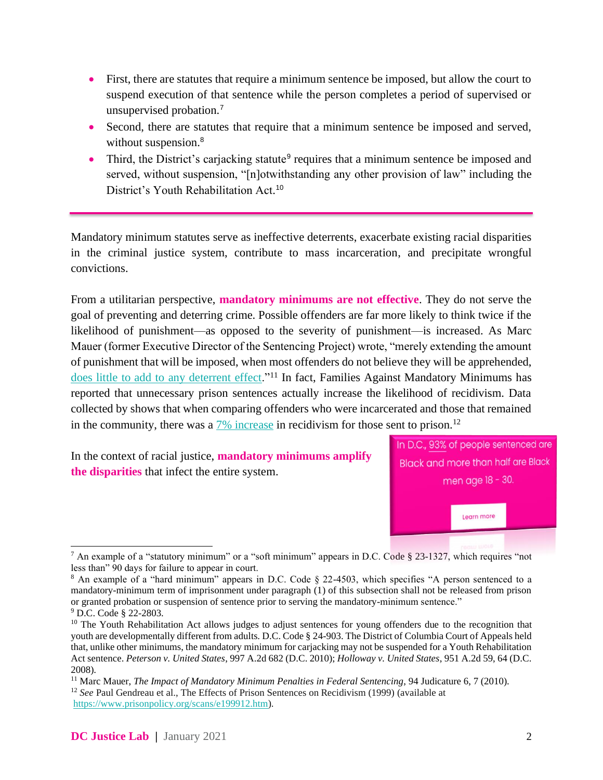- First, there are statutes that require a minimum sentence be imposed, but allow the court to suspend execution of that sentence while the person completes a period of supervised or unsupervised probation.<sup>7</sup>
- Second, there are statutes that require that a minimum sentence be imposed and served, without suspension.<sup>8</sup>
- Third, the District's carjacking statute<sup>9</sup> requires that a minimum sentence be imposed and served, without suspension, "[n]otwithstanding any other provision of law" including the District's Youth Rehabilitation Act. 10

Mandatory minimum statutes serve as ineffective deterrents, exacerbate existing racial disparities in the criminal justice system, contribute to mass incarceration, and precipitate wrongful convictions.

From a utilitarian perspective, **mandatory minimums are not effective**. They do not serve the goal of preventing and deterring crime. Possible offenders are far more likely to think twice if the likelihood of punishment—as opposed to the severity of punishment—is increased. As Marc Mauer (former Executive Director of the Sentencing Project) wrote, "merely extending the amount of punishment that will be imposed, when most offenders do not believe they will be apprehended, [does little to add to any deterrent effect.](https://www.sentencingproject.org/wp-content/uploads/2016/01/Judicature-Impact-of-Mandatory-Minimum-Penalties-in-Federal-Sentencing.pdf)"<sup>11</sup> In fact, Families Against Mandatory Minimums has reported that unnecessary prison sentences actually increase the likelihood of recidivism. Data collected by shows that when comparing offenders who were incarcerated and those that remained in the community, there was a  $\frac{7\% \text{ increase}}{2}$  in recidivism for those sent to prison.<sup>12</sup>

In the context of racial justice, **mandatory minimums amplify the disparities** that infect the entire system.



<sup>&</sup>lt;sup>7</sup> An example of a "statutory minimum" or a "soft minimum" appears in D.C. Code § 23-1327, which requires "not less than" 90 days for failure to appear in court.

<sup>12</sup> *See* Paul Gendreau et al., The Effects of Prison Sentences on Recidivism (1999) (available at [https://www.prisonpolicy.org/scans/e199912.htm\)](https://www.prisonpolicy.org/scans/e199912.htm).

<sup>&</sup>lt;sup>8</sup> An example of a "hard minimum" appears in D.C. Code § 22-4503, which specifies "A person sentenced to a mandatory-minimum term of imprisonment under paragraph (1) of this subsection shall not be released from prison or granted probation or suspension of sentence prior to serving the mandatory-minimum sentence." <sup>9</sup> D.C. Code § 22-2803.

<sup>&</sup>lt;sup>10</sup> The Youth Rehabilitation Act allows judges to adjust sentences for young offenders due to the recognition that youth are developmentally different from adults*.* D.C. Code § 24-903. The District of Columbia Court of Appeals held that, unlike other minimums, the mandatory minimum for carjacking may not be suspended for a Youth Rehabilitation Act sentence. *Peterson v. United States*, 997 A.2d 682 (D.C. 2010); *Holloway v. United States*, 951 A.2d 59, 64 (D.C. 2008).

<sup>&</sup>lt;sup>11</sup> Marc Mauer, *The Impact of Mandatory Minimum Penalties in Federal Sentencing*, 94 Judicature 6, 7 (2010).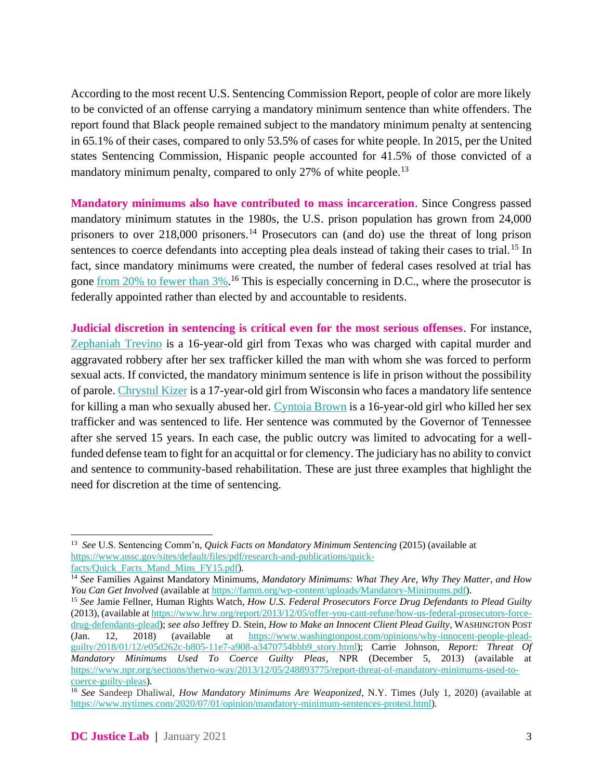According to the most recent U.S. Sentencing Commission Report, people of color are more likely to be convicted of an offense carrying a mandatory minimum sentence than white offenders. The report found that Black people remained subject to the mandatory minimum penalty at sentencing in 65.1% of their cases, compared to only 53.5% of cases for white people. In 2015, per the United states Sentencing Commission, Hispanic people accounted for 41.5% of those convicted of a mandatory minimum penalty, compared to only 27% of white people.<sup>13</sup>

**Mandatory minimums also have contributed to mass incarceration**. Since Congress passed mandatory minimum statutes in the 1980s, the U.S. prison population has grown from 24,000 prisoners to over 218,000 prisoners.<sup>14</sup> Prosecutors can (and do) use the threat of long prison sentences to coerce defendants into accepting plea deals instead of taking their cases to trial.<sup>15</sup> In fact, since mandatory minimums were created, the number of federal cases resolved at trial has gone <u>from 20% to fewer than 3%</u>.<sup>16</sup> This is especially concerning in D.C., where the prosecutor is federally appointed rather than elected by and accountable to residents.

**Judicial discretion in sentencing is critical even for the most serious offenses**. For instance, [Zephaniah Trevino](https://meaww.com/zephaniah-trevino-16-year-minor-sex-trafficking-drugs-man-robbery-murder-true-false) is a 16-year-old girl from Texas who was charged with capital murder and aggravated robbery after her sex trafficker killed the man with whom she was forced to perform sexual acts. If convicted, the mandatory minimum sentence is life in prison without the possibility of parole. [Chrystul Kizer](https://www.washingtonpost.com/graphics/2019/local/child-sex-trafficking-murder/) is a 17-year-old girl from Wisconsin who faces a mandatory life sentence for killing a man who sexually abused her. [Cyntoia Brown](https://www.washingtonpost.com/nation/2019/08/07/cyntoia-brown-released-tennessee-prison/) is a 16-year-old girl who killed her sex trafficker and was sentenced to life. Her sentence was commuted by the Governor of Tennessee after she served 15 years. In each case, the public outcry was limited to advocating for a wellfunded defense team to fight for an acquittal or for clemency. The judiciary has no ability to convict and sentence to community-based rehabilitation. These are just three examples that highlight the need for discretion at the time of sentencing.

<sup>13</sup> *See* U.S. Sentencing Comm'n, *Quick Facts on Mandatory Minimum Sentencing* (2015) (available at [https://www.ussc.gov/sites/default/files/pdf/research-and-publications/quick](https://www.ussc.gov/sites/default/files/pdf/research-and-publications/quick-facts/Quick_Facts_Mand_Mins_FY15.pdf)[facts/Quick\\_Facts\\_Mand\\_Mins\\_FY15.pdf\)](https://www.ussc.gov/sites/default/files/pdf/research-and-publications/quick-facts/Quick_Facts_Mand_Mins_FY15.pdf).

<sup>14</sup> *See* Families Against Mandatory Minimums, *Mandatory Minimums: What They Are, Why They Matter, and How You Can Get Involved* (available at [https://famm.org/wp-content/uploads/Mandatory-Minimums.pdf\)](https://famm.org/wp-content/uploads/Mandatory-Minimums.pdf).

<sup>15</sup> *See* Jamie Fellner, Human Rights Watch, *How U.S. Federal Prosecutors Force Drug Defendants to Plead Guilty*  (2013)*,* (available a[t https://www.hrw.org/report/2013/12/05/offer-you-cant-refuse/how-us-federal-prosecutors-force](https://www.hrw.org/report/2013/12/05/offer-you-cant-refuse/how-us-federal-prosecutors-force-drug-defendants-plead)[drug-defendants-plead\)](https://www.hrw.org/report/2013/12/05/offer-you-cant-refuse/how-us-federal-prosecutors-force-drug-defendants-plead); *see also* Jeffrey D. Stein, *How to Make an Innocent Client Plead Guilty*, WASHINGTON POST (Jan. 12, 2018) (available at [https://www.washingtonpost.com/opinions/why-innocent-people-plead](https://www.washingtonpost.com/opinions/why-innocent-people-plead-guilty/2018/01/12/e05d262c-b805-11e7-a908-a3470754bbb9_story.html)[guilty/2018/01/12/e05d262c-b805-11e7-a908-a3470754bbb9\\_story.html\)](https://www.washingtonpost.com/opinions/why-innocent-people-plead-guilty/2018/01/12/e05d262c-b805-11e7-a908-a3470754bbb9_story.html); Carrie Johnson, *Report: Threat Of Mandatory Minimums Used To Coerce Guilty Pleas*, NPR (December 5, 2013) (available at [https://www.npr.org/sections/thetwo-way/2013/12/05/248893775/report-threat-of-mandatory-minimums-used-to](https://www.npr.org/sections/thetwo-way/2013/12/05/248893775/report-threat-of-mandatory-minimums-used-to-coerce-guilty-pleas)[coerce-guilty-pleas\)](https://www.npr.org/sections/thetwo-way/2013/12/05/248893775/report-threat-of-mandatory-minimums-used-to-coerce-guilty-pleas).

<sup>16</sup> *See* Sandeep Dhaliwal, *How Mandatory Minimums Are Weaponized*, N.Y. Times (July 1, 2020) (available at [https://www.nytimes.com/2020/07/01/opinion/mandatory-minimum-sentences-protest.html\)](https://www.nytimes.com/2020/07/01/opinion/mandatory-minimum-sentences-protest.html).